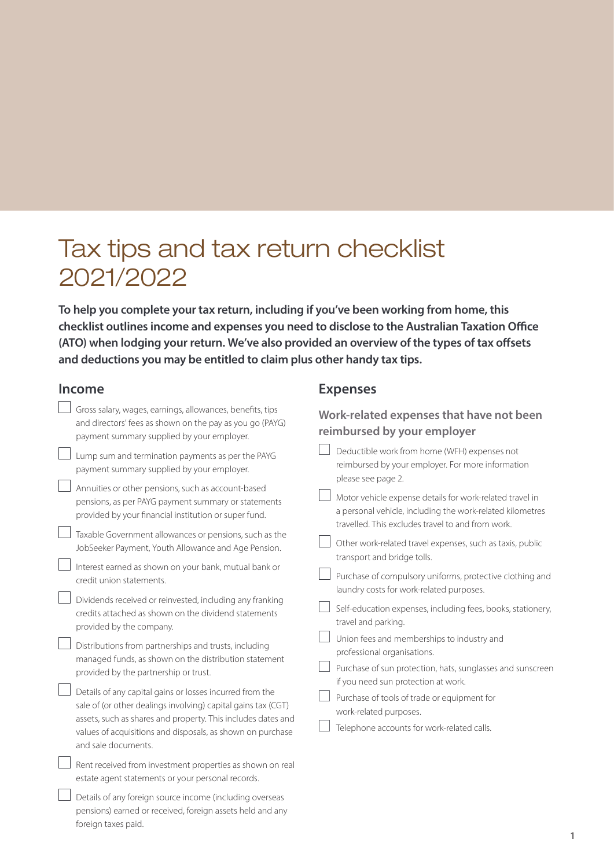# Tax tips and tax return checklist 2021/2022

**To help you complete your tax return, including if you've been working from home, this checklist outlines income and expenses you need to disclose to the Australian Taxation Office (ATO) when lodging your return. We've also provided an overview of the types of tax offsets and deductions you may be entitled to claim plus other handy tax tips.** 

## **Income**

foreign taxes paid.

| <b>Income</b>                                                                                                                                                                                                                                                                                                           | <b>Expenses</b>                                                                                                                                                            |
|-------------------------------------------------------------------------------------------------------------------------------------------------------------------------------------------------------------------------------------------------------------------------------------------------------------------------|----------------------------------------------------------------------------------------------------------------------------------------------------------------------------|
| Gross salary, wages, earnings, allowances, benefits, tips<br>and directors' fees as shown on the pay as you go (PAYG)<br>payment summary supplied by your employer.                                                                                                                                                     | Work-related expenses that have not been<br>reimbursed by your employer                                                                                                    |
| Lump sum and termination payments as per the PAYG<br>payment summary supplied by your employer.                                                                                                                                                                                                                         | Deductible work from home (WFH) expenses not<br>reimbursed by your employer. For more information<br>please see page 2.                                                    |
| Annuities or other pensions, such as account-based<br>pensions, as per PAYG payment summary or statements<br>provided by your financial institution or super fund.                                                                                                                                                      | Motor vehicle expense details for work-related travel in<br>a personal vehicle, including the work-related kilometres<br>travelled. This excludes travel to and from work. |
| Taxable Government allowances or pensions, such as the<br>JobSeeker Payment, Youth Allowance and Age Pension.                                                                                                                                                                                                           | Other work-related travel expenses, such as taxis, public<br>transport and bridge tolls.                                                                                   |
| Interest earned as shown on your bank, mutual bank or<br>credit union statements.                                                                                                                                                                                                                                       | Purchase of compulsory uniforms, protective clothing and<br>laundry costs for work-related purposes.                                                                       |
| Dividends received or reinvested, including any franking<br>credits attached as shown on the dividend statements<br>provided by the company.                                                                                                                                                                            | Self-education expenses, including fees, books, stationery,<br>travel and parking.                                                                                         |
| Distributions from partnerships and trusts, including<br>managed funds, as shown on the distribution statement                                                                                                                                                                                                          | Union fees and memberships to industry and<br>professional organisations.                                                                                                  |
| provided by the partnership or trust.<br>Details of any capital gains or losses incurred from the<br>sale of (or other dealings involving) capital gains tax (CGT)<br>assets, such as shares and property. This includes dates and<br>values of acquisitions and disposals, as shown on purchase<br>and sale documents. | Purchase of sun protection, hats, sunglasses and sunscreen<br>if you need sun protection at work.                                                                          |
|                                                                                                                                                                                                                                                                                                                         | Purchase of tools of trade or equipment for<br>work-related purposes.                                                                                                      |
|                                                                                                                                                                                                                                                                                                                         | Telephone accounts for work-related calls.                                                                                                                                 |
| Rent received from investment properties as shown on real<br>estate agent statements or your personal records.                                                                                                                                                                                                          |                                                                                                                                                                            |
| Details of any foreign source income (including overseas<br>pensions) earned or received, foreign assets held and any                                                                                                                                                                                                   |                                                                                                                                                                            |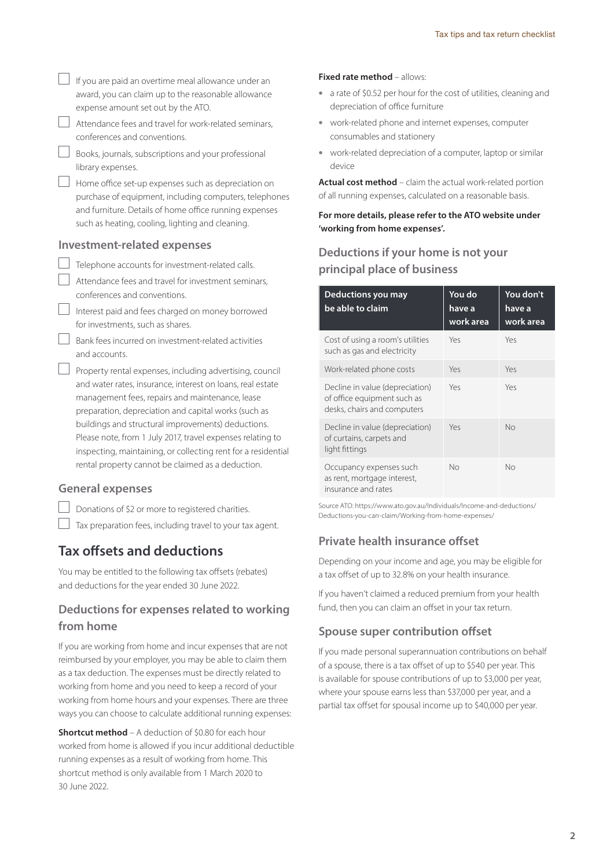#### **General expenses**

Donations of \$2 or more to registered charities.

 $\Box$  Tax preparation fees, including travel to your tax agent.

## **Tax offsets and deductions**

You may be entitled to the following tax offsets (rebates) and deductions for the year ended 30 June 2022.

## **Deductions for expenses related to working from home**

If you are working from home and incur expenses that are not reimbursed by your employer, you may be able to claim them as a tax deduction. The expenses must be directly related to working from home and you need to keep a record of your working from home hours and your expenses. There are three ways you can choose to calculate additional running expenses:

**Shortcut method** – A deduction of \$0.80 for each hour worked from home is allowed if you incur additional deductible running expenses as a result of working from home. This shortcut method is only available from 1 March 2020 to 30 June 2022.

#### **Fixed rate method** – allows:

- a rate of \$0.52 per hour for the cost of utilities, cleaning and depreciation of office furniture
- work-related phone and internet expenses, computer consumables and stationery
- work-related depreciation of a computer, laptop or similar device

**Actual cost method** – claim the actual work-related portion of all running expenses, calculated on a reasonable basis.

**For more details, please refer to the ATO website under 'working from home expenses'.**

## **Deductions if your home is not your principal place of business**

| Deductions you may<br>be able to claim                                                        | You do<br>have a<br>work area | You don't<br>have a<br>work area |
|-----------------------------------------------------------------------------------------------|-------------------------------|----------------------------------|
| Cost of using a room's utilities<br>such as gas and electricity                               | Yes                           | Yes                              |
| Work-related phone costs                                                                      | Yes                           | Yes                              |
| Decline in value (depreciation)<br>of office equipment such as<br>desks, chairs and computers | Yes                           | Yes                              |
| Decline in value (depreciation)<br>of curtains, carpets and<br>light fittings                 | Yes                           | No                               |
| Occupancy expenses such<br>as rent, mortgage interest,<br>insurance and rates                 | No                            | No                               |

Source ATO: [https://www.ato.gov.au/Individuals/Income-and-deductions/](https://www.ato.gov.au/Individuals/Income-and-deductions/Deductions-you-can-claim/Working-from-home-expenses/) [Deductions-you-can-claim/Working-from-home-expenses/](https://www.ato.gov.au/Individuals/Income-and-deductions/Deductions-you-can-claim/Working-from-home-expenses/)

#### **Private health insurance offset**

Depending on your income and age, you may be eligible for a tax offset of up to 32.8% on your health insurance.

If you haven't claimed a reduced premium from your health fund, then you can claim an offset in your tax return.

#### **Spouse super contribution offset**

If you made personal superannuation contributions on behalf of a spouse, there is a tax offset of up to \$540 per year. This is available for spouse contributions of up to \$3,000 per year, where your spouse earns less than \$37,000 per year, and a partial tax offset for spousal income up to \$40,000 per year.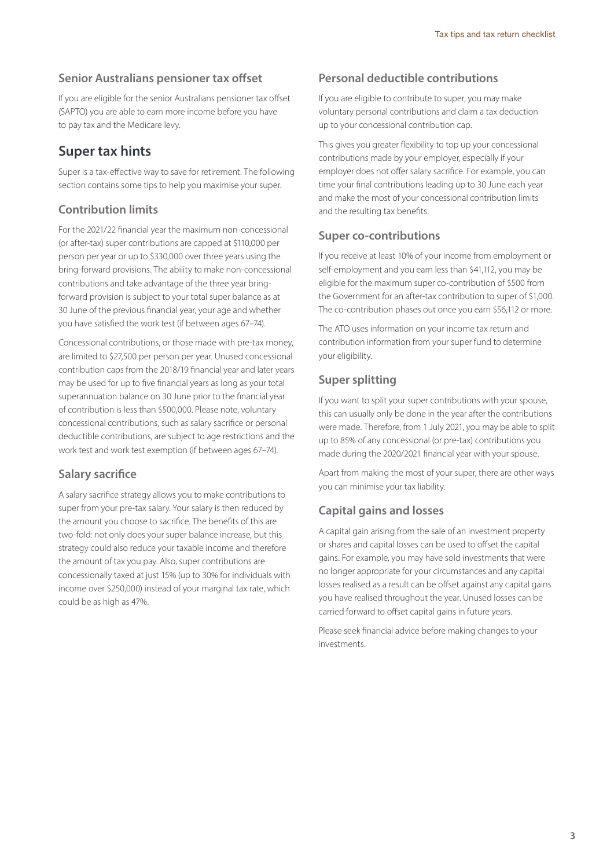#### **Senior Australians pensioner tax offset**

If you are eligible for the senior Australians pensioner tax offset (SAPTO) you are able to earn more income before you have to pay tax and the Medicare levy.

## **Super tax hints**

Super is a tax-effective way to save for retirement. The following section contains some tips to help you maximise your super.

## **Contribution limits**

For the 2021/22 financial year the maximum non-concessional (or after-tax) super contributions are capped at \$110,000 per person per year or up to \$330,000 over three years using the bring-forward provisions. The ability to make non-concessional contributions and take advantage of the three year bringforward provision is subject to your total super balance as at 30 June of the previous financial year, your age and whether you have satisfied the work test (if between ages 67–74).

Concessional contributions, or those made with pre-tax money, are limited to \$27,500 per person per year. Unused concessional contribution caps from the 2018/19 financial year and later years may be used for up to five financial years as long as your total superannuation balance on 30 June prior to the financial year of contribution is less than \$500,000. Please note, voluntary concessional contributions, such as salary sacrifice or personal deductible contributions, are subject to age restrictions and the work test and work test exemption (if between ages 67–74).

#### **Salary sacrifice**

A salary sacrifice strategy allows you to make contributions to super from your pre-tax salary. Your salary is then reduced by the amount you choose to sacrifice. The benefits of this are two-fold: not only does your super balance increase, but this strategy could also reduce your taxable income and therefore the amount of tax you pay. Also, super contributions are concessionally taxed at just 15% (up to 30% for individuals with income over \$250,000) instead of your marginal tax rate, which could be as high as 47%.

### **Personal deductible contributions**

If you are eligible to contribute to super, you may make voluntary personal contributions and claim a tax deduction up to your concessional contribution cap.

This gives you greater flexibility to top up your concessional contributions made by your employer, especially if your employer does not offer salary sacrifice. For example, you can time your final contributions leading up to 30 June each year and make the most of your concessional contribution limits and the resulting tax benefits.

#### **Super co-contributions**

If you receive at least 10% of your income from employment or self-employment and you earn less than \$41,112, you may be eligible for the maximum super co-contribution of \$500 from the Government for an after-tax contribution to super of \$1,000. The co-contribution phases out once you earn \$56,112 or more.

The ATO uses information on your income tax return and contribution information from your super fund to determine your eligibility.

#### **Super splitting**

If you want to split your super contributions with your spouse, this can usually only be done in the year after the contributions were made. Therefore, from 1 July 2021, you may be able to split up to 85% of any concessional (or pre-tax) contributions you made during the 2020/2021 financial year with your spouse.

Apart from making the most of your super, there are other ways you can minimise your tax liability.

#### **Capital gains and losses**

A capital gain arising from the sale of an investment property or shares and capital losses can be used to offset the capital gains. For example, you may have sold investments that were no longer appropriate for your circumstances and any capital losses realised as a result can be offset against any capital gains you have realised throughout the year. Unused losses can be carried forward to offset capital gains in future years.

Please seek financial advice before making changes to your investments